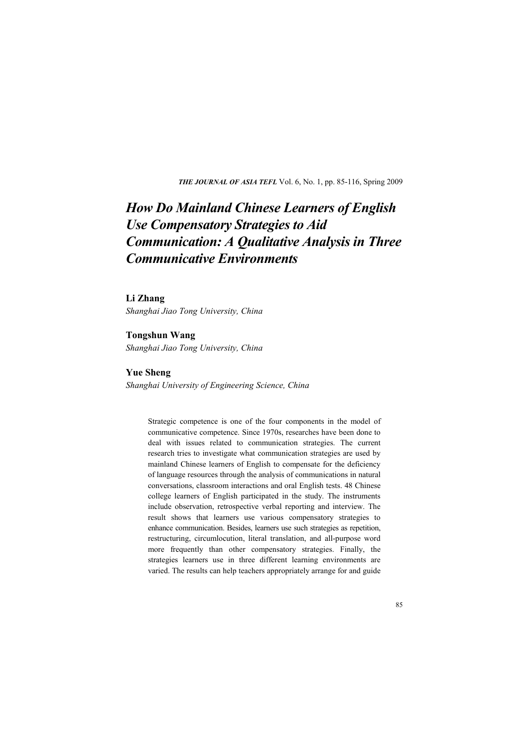*THE JOURNAL OF ASIA TEFL* Vol. 6, No. 1, pp. 85-116, Spring 2009

# *How Do Mainland Chinese Learners of English Use Compensatory Strategies to Aid Communication: A Qualitative Analysis in Three Communicative Environments*

### **Li Zhang**

*Shanghai Jiao Tong University, China*

### **Tongshun Wang**

*Shanghai Jiao Tong University, China*

# **Yue Sheng**

*Shanghai University of Engineering Science, China*

Strategic competence is one of the four components in the model of communicative competence. Since 1970s, researches have been done to deal with issues related to communication strategies. The current research tries to investigate what communication strategies are used by mainland Chinese learners of English to compensate for the deficiency of language resources through the analysis of communications in natural conversations, classroom interactions and oral English tests. 48 Chinese college learners of English participated in the study. The instruments include observation, retrospective verbal reporting and interview. The result shows that learners use various compensatory strategies to enhance communication. Besides, learners use such strategies as repetition, restructuring, circumlocution, literal translation, and all-purpose word more frequently than other compensatory strategies. Finally, the strategies learners use in three different learning environments are varied. The results can help teachers appropriately arrange for and guide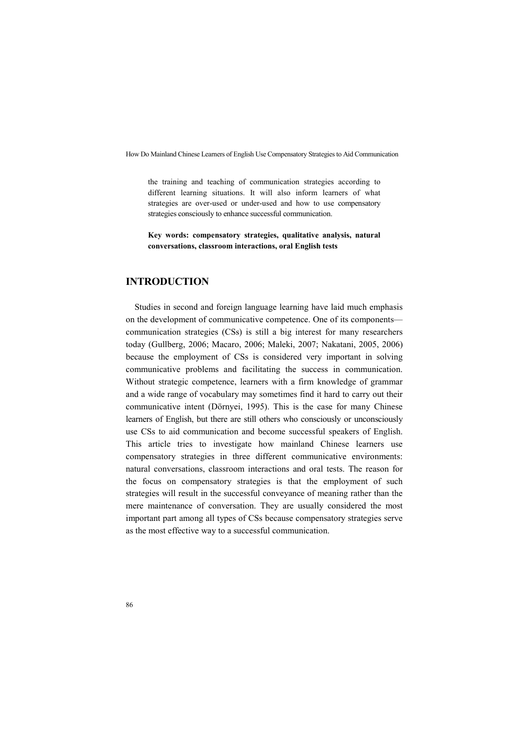the training and teaching of communication strategies according to different learning situations. It will also inform learners of what strategies are over-used or under-used and how to use compensatory strategies consciously to enhance successful communication.

**Key words: compensatory strategies, qualitative analysis, natural conversations, classroom interactions, oral English tests**

# **INTRODUCTION**

Studies in second and foreign language learning have laid much emphasis on the development of communicative competence. One of its components communication strategies (CSs) is still a big interest for many researchers today (Gullberg, 2006; Macaro, 2006; Maleki, 2007; Nakatani, 2005, 2006) because the employment of CSs is considered very important in solving communicative problems and facilitating the success in communication. Without strategic competence, learners with a firm knowledge of grammar and a wide range of vocabulary may sometimes find it hard to carry out their communicative intent (Dörnyei, 1995). This is the case for many Chinese learners of English, but there are still others who consciously or unconsciously use CSs to aid communication and become successful speakers of English. This article tries to investigate how mainland Chinese learners use compensatory strategies in three different communicative environments: natural conversations, classroom interactions and oral tests. The reason for the focus on compensatory strategies is that the employment of such strategies will result in the successful conveyance of meaning rather than the mere maintenance of conversation. They are usually considered the most important part among all types of CSs because compensatory strategies serve as the most effective way to a successful communication.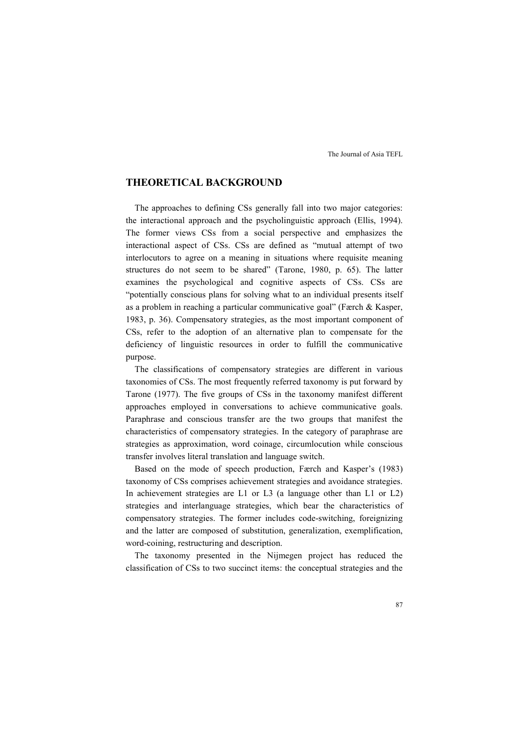# **THEORETICAL BACKGROUND**

The approaches to defining CSs generally fall into two major categories: the interactional approach and the psycholinguistic approach (Ellis, 1994). The former views CSs from a social perspective and emphasizes the interactional aspect of CSs. CSs are defined as "mutual attempt of two interlocutors to agree on a meaning in situations where requisite meaning structures do not seem to be shared" (Tarone, 1980, p. 65). The latter examines the psychological and cognitive aspects of CSs. CSs are "potentially conscious plans for solving what to an individual presents itself as a problem in reaching a particular communicative goal" (Færch & Kasper, 1983, p. 36). Compensatory strategies, as the most important component of CSs, refer to the adoption of an alternative plan to compensate for the deficiency of linguistic resources in order to fulfill the communicative purpose.

The classifications of compensatory strategies are different in various taxonomies of CSs. The most frequently referred taxonomy is put forward by Tarone (1977). The five groups of CSs in the taxonomy manifest different approaches employed in conversations to achieve communicative goals. Paraphrase and conscious transfer are the two groups that manifest the characteristics of compensatory strategies. In the category of paraphrase are strategies as approximation, word coinage, circumlocution while conscious transfer involves literal translation and language switch.

Based on the mode of speech production, Færch and Kasper's (1983) taxonomy of CSs comprises achievement strategies and avoidance strategies. In achievement strategies are L1 or L3 (a language other than L1 or L2) strategies and interlanguage strategies, which bear the characteristics of compensatory strategies. The former includes code-switching, foreignizing and the latter are composed of substitution, generalization, exemplification, word-coining, restructuring and description.

The taxonomy presented in the Nijmegen project has reduced the classification of CSs to two succinct items: the conceptual strategies and the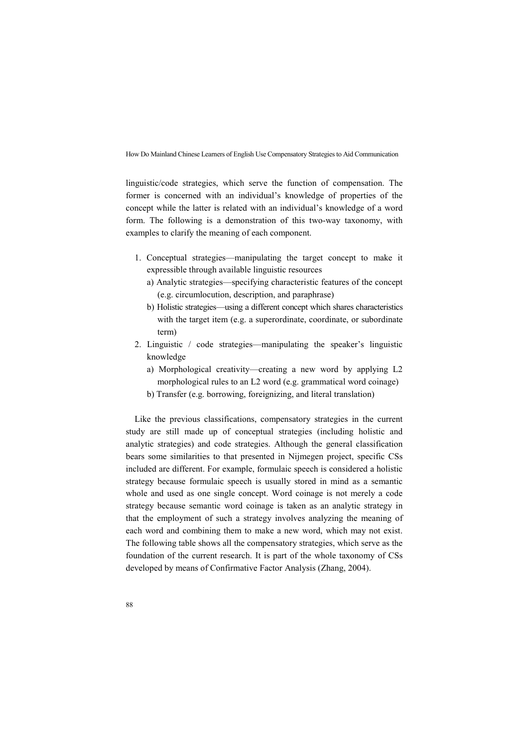linguistic/code strategies, which serve the function of compensation. The former is concerned with an individual's knowledge of properties of the concept while the latter is related with an individual's knowledge of a word form. The following is a demonstration of this two-way taxonomy, with examples to clarify the meaning of each component.

- 1. Conceptual strategies—manipulating the target concept to make it expressible through available linguistic resources
	- a) Analytic strategies—specifying characteristic features of the concept (e.g. circumlocution, description, and paraphrase)
	- b) Holistic strategies—using a different concept which shares characteristics with the target item (e.g. a superordinate, coordinate, or subordinate term)
- 2. Linguistic / code strategies—manipulating the speaker's linguistic knowledge
	- a) Morphological creativity—creating a new word by applying L2 morphological rules to an L2 word (e.g. grammatical word coinage)
	- b) Transfer (e.g. borrowing, foreignizing, and literal translation)

Like the previous classifications, compensatory strategies in the current study are still made up of conceptual strategies (including holistic and analytic strategies) and code strategies. Although the general classification bears some similarities to that presented in Nijmegen project, specific CSs included are different. For example, formulaic speech is considered a holistic strategy because formulaic speech is usually stored in mind as a semantic whole and used as one single concept. Word coinage is not merely a code strategy because semantic word coinage is taken as an analytic strategy in that the employment of such a strategy involves analyzing the meaning of each word and combining them to make a new word, which may not exist. The following table shows all the compensatory strategies, which serve as the foundation of the current research. It is part of the whole taxonomy of CSs developed by means of Confirmative Factor Analysis (Zhang, 2004).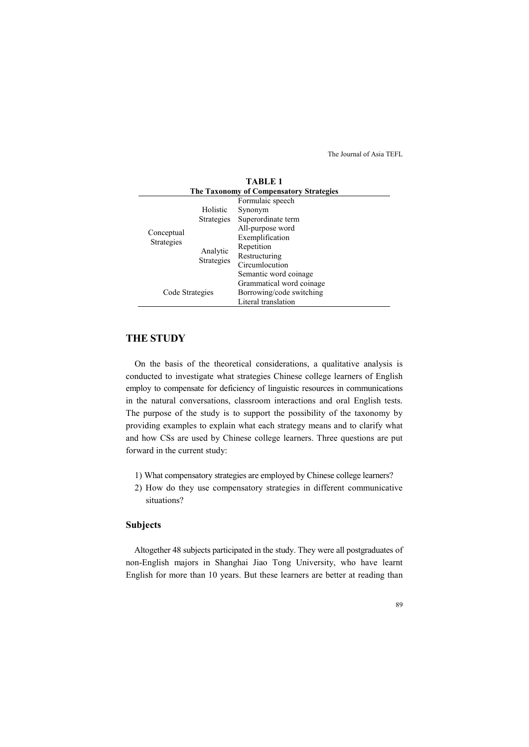|                                         |                               | TABLE 1                  |  |  |
|-----------------------------------------|-------------------------------|--------------------------|--|--|
| The Taxonomy of Compensatory Strategies |                               |                          |  |  |
|                                         |                               | Formulaic speech         |  |  |
|                                         | Holistic                      | Synonym                  |  |  |
| Conceptual<br><b>Strategies</b>         | Strategies                    | Superordinate term       |  |  |
|                                         |                               | All-purpose word         |  |  |
|                                         | Analytic<br><b>Strategies</b> | Exemplification          |  |  |
|                                         |                               | Repetition               |  |  |
|                                         |                               | Restructuring            |  |  |
|                                         |                               | Circumlocution           |  |  |
|                                         |                               | Semantic word coinage.   |  |  |
|                                         |                               | Grammatical word coinage |  |  |
| Code Strategies                         |                               | Borrowing/code switching |  |  |
|                                         |                               | Literal translation      |  |  |

**THE STUDY**

On the basis of the theoretical considerations, a qualitative analysis is conducted to investigate what strategies Chinese college learners of English employ to compensate for deficiency of linguistic resources in communications in the natural conversations, classroom interactions and oral English tests. The purpose of the study is to support the possibility of the taxonomy by providing examples to explain what each strategy means and to clarify what and how CSs are used by Chinese college learners. Three questions are put forward in the current study:

- 1) What compensatory strategies are employed by Chinese college learners?
- 2) How do they use compensatory strategies in different communicative situations?

# **Subjects**

Altogether 48 subjects participated in the study. They were all postgraduates of non-English majors in Shanghai Jiao Tong University, who have learnt English for more than 10 years. But these learners are better at reading than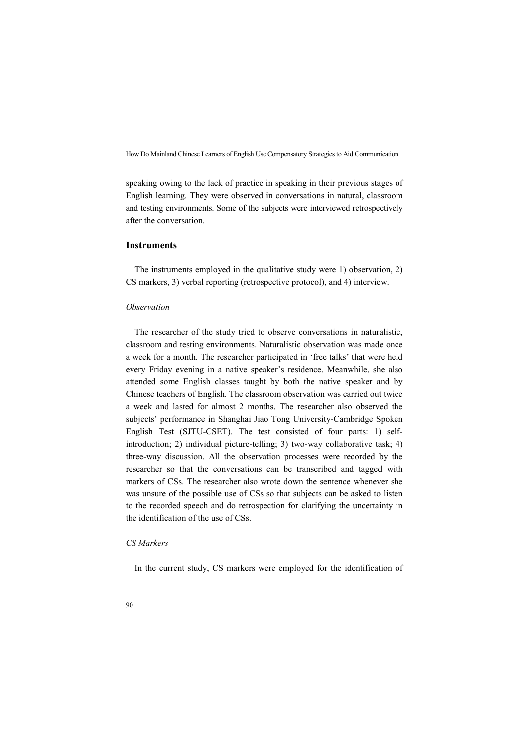speaking owing to the lack of practice in speaking in their previous stages of English learning. They were observed in conversations in natural, classroom and testing environments. Some of the subjects were interviewed retrospectively after the conversation.

## **Instruments**

The instruments employed in the qualitative study were 1) observation, 2) CS markers, 3) verbal reporting (retrospective protocol), and 4) interview.

### *Observation*

The researcher of the study tried to observe conversations in naturalistic, classroom and testing environments. Naturalistic observation was made once a week for a month. The researcher participated in 'free talks' that were held every Friday evening in a native speaker's residence. Meanwhile, she also attended some English classes taught by both the native speaker and by Chinese teachers of English. The classroom observation was carried out twice a week and lasted for almost 2 months. The researcher also observed the subjects' performance in Shanghai Jiao Tong University-Cambridge Spoken English Test (SJTU-CSET). The test consisted of four parts: 1) selfintroduction; 2) individual picture-telling; 3) two-way collaborative task; 4) three-way discussion. All the observation processes were recorded by the researcher so that the conversations can be transcribed and tagged with markers of CSs. The researcher also wrote down the sentence whenever she was unsure of the possible use of CSs so that subjects can be asked to listen to the recorded speech and do retrospection for clarifying the uncertainty in the identification of the use of CSs.

### *CS Markers*

In the current study, CS markers were employed for the identification of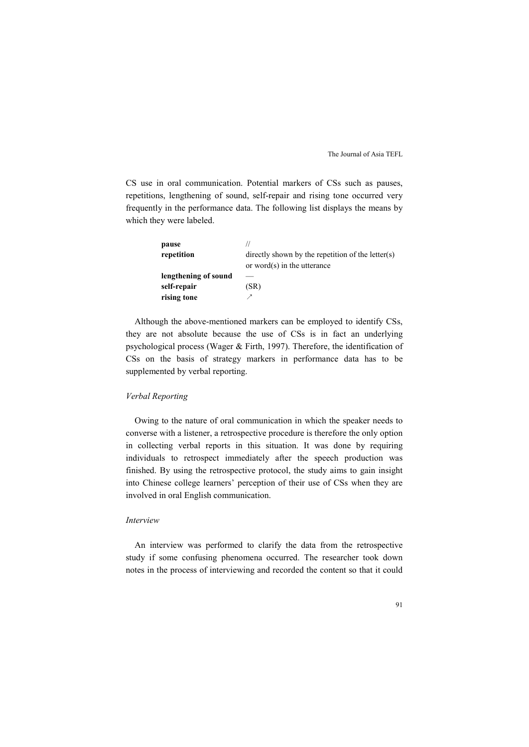CS use in oral communication. Potential markers of CSs such as pauses, repetitions, lengthening of sound, self-repair and rising tone occurred very frequently in the performance data. The following list displays the means by which they were labeled.

| pause                |                                                      |
|----------------------|------------------------------------------------------|
| repetition           | directly shown by the repetition of the letter $(s)$ |
|                      | or word $(s)$ in the utterance                       |
| lengthening of sound |                                                      |
| self-repair          | (SR)                                                 |
| rising tone          |                                                      |

Although the above-mentioned markers can be employed to identify CSs, they are not absolute because the use of CSs is in fact an underlying psychological process (Wager & Firth, 1997). Therefore, the identification of CSs on the basis of strategy markers in performance data has to be supplemented by verbal reporting.

#### *Verbal Reporting*

Owing to the nature of oral communication in which the speaker needs to converse with a listener, a retrospective procedure is therefore the only option in collecting verbal reports in this situation. It was done by requiring individuals to retrospect immediately after the speech production was finished. By using the retrospective protocol, the study aims to gain insight into Chinese college learners' perception of their use of CSs when they are involved in oral English communication.

#### *Interview*

An interview was performed to clarify the data from the retrospective study if some confusing phenomena occurred. The researcher took down notes in the process of interviewing and recorded the content so that it could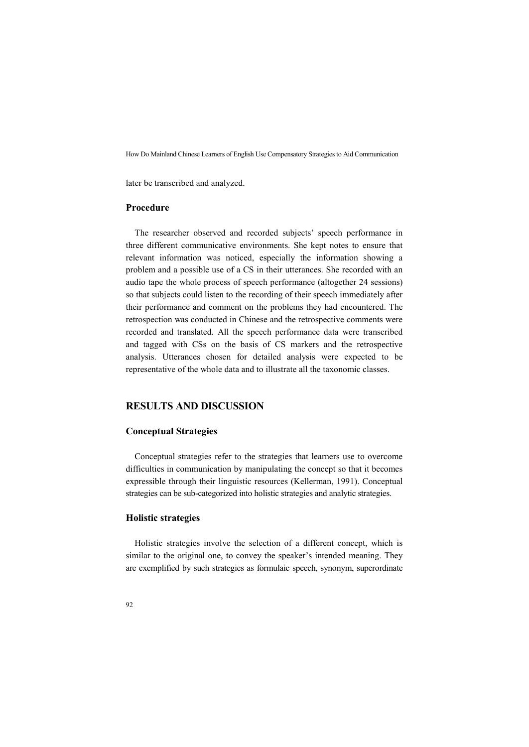later be transcribed and analyzed.

### **Procedure**

The researcher observed and recorded subjects' speech performance in three different communicative environments. She kept notes to ensure that relevant information was noticed, especially the information showing a problem and a possible use of a CS in their utterances. She recorded with an audio tape the whole process of speech performance (altogether 24 sessions) so that subjects could listen to the recording of their speech immediately after their performance and comment on the problems they had encountered. The retrospection was conducted in Chinese and the retrospective comments were recorded and translated. All the speech performance data were transcribed and tagged with CSs on the basis of CS markers and the retrospective analysis. Utterances chosen for detailed analysis were expected to be representative of the whole data and to illustrate all the taxonomic classes.

### **RESULTS AND DISCUSSION**

### **Conceptual Strategies**

Conceptual strategies refer to the strategies that learners use to overcome difficulties in communication by manipulating the concept so that it becomes expressible through their linguistic resources (Kellerman, 1991). Conceptual strategies can be sub-categorized into holistic strategies and analytic strategies.

### **Holistic strategies**

Holistic strategies involve the selection of a different concept, which is similar to the original one, to convey the speaker's intended meaning. They are exemplified by such strategies as formulaic speech, synonym, superordinate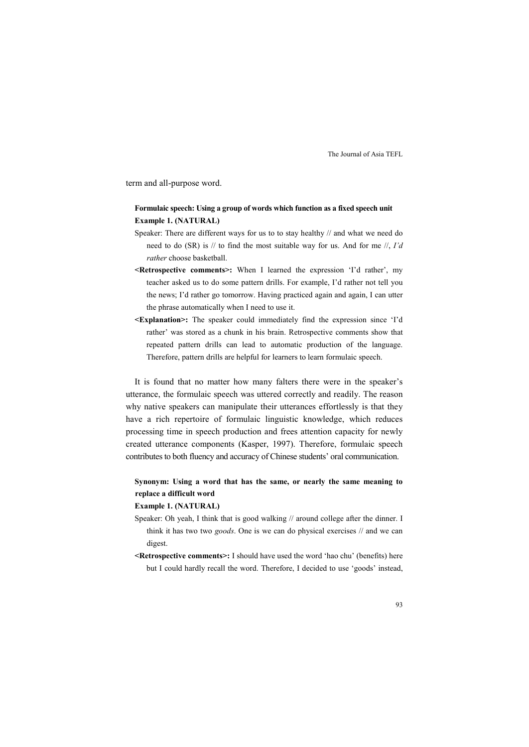term and all-purpose word.

## **Formulaic speech: Using a group of words which function as a fixed speech unit Example 1. (NATURAL)**

- Speaker: There are different ways for us to to stay healthy // and what we need do need to do (SR) is // to find the most suitable way for us. And for me //, *I'd rather* choose basketball.
- **<Retrospective comments>:** When I learned the expression 'I'd rather', my teacher asked us to do some pattern drills. For example, I'd rather not tell you the news; I'd rather go tomorrow. Having practiced again and again, I can utter the phrase automatically when I need to use it.
- **<Explanation>:** The speaker could immediately find the expression since 'I'd rather' was stored as a chunk in his brain. Retrospective comments show that repeated pattern drills can lead to automatic production of the language. Therefore, pattern drills are helpful for learners to learn formulaic speech.

It is found that no matter how many falters there were in the speaker's utterance, the formulaic speech was uttered correctly and readily. The reason why native speakers can manipulate their utterances effortlessly is that they have a rich repertoire of formulaic linguistic knowledge, which reduces processing time in speech production and frees attention capacity for newly created utterance components (Kasper, 1997). Therefore, formulaic speech contributes to both fluency and accuracy of Chinese students' oral communication.

**Synonym: Using a word that has the same, or nearly the same meaning to replace a difficult word**

**Example 1. (NATURAL)**

- Speaker: Oh yeah, I think that is good walking // around college after the dinner. I think it has two two *goods*. One is we can do physical exercises // and we can digest.
- **<Retrospective comments>:** I should have used the word 'hao chu' (benefits) here but I could hardly recall the word. Therefore, I decided to use 'goods' instead,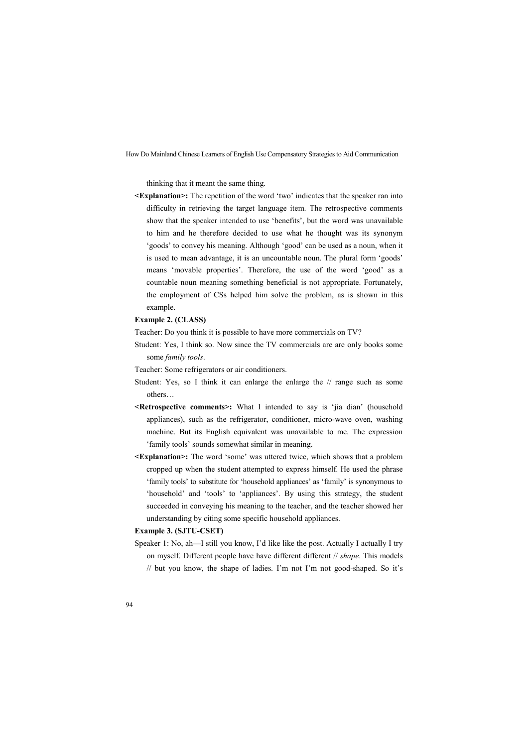thinking that it meant the same thing.

**<Explanation>:** The repetition of the word 'two' indicates that the speaker ran into difficulty in retrieving the target language item. The retrospective comments show that the speaker intended to use 'benefits', but the word was unavailable to him and he therefore decided to use what he thought was its synonym 'goods' to convey his meaning. Although 'good' can be used as a noun, when it is used to mean advantage, it is an uncountable noun. The plural form 'goods' means 'movable properties'. Therefore, the use of the word 'good' as a countable noun meaning something beneficial is not appropriate. Fortunately, the employment of CSs helped him solve the problem, as is shown in this example.

#### **Example 2. (CLASS)**

Teacher: Do you think it is possible to have more commercials on TV?

Student: Yes, I think so. Now since the TV commercials are are only books some some *family tools*.

Teacher: Some refrigerators or air conditioners.

- Student: Yes, so I think it can enlarge the enlarge the // range such as some others…
- **<Retrospective comments>:** What I intended to say is 'jia dian' (household appliances), such as the refrigerator, conditioner, micro-wave oven, washing machine. But its English equivalent was unavailable to me. The expression 'family tools' sounds somewhat similar in meaning.
- **<Explanation>:** The word 'some' was uttered twice, which shows that a problem cropped up when the student attempted to express himself. He used the phrase 'family tools' to substitute for 'household appliances' as 'family' is synonymous to 'household' and 'tools' to 'appliances'. By using this strategy, the student succeeded in conveying his meaning to the teacher, and the teacher showed her understanding by citing some specific household appliances.

#### **Example 3. (SJTU-CSET)**

Speaker 1: No, ah—I still you know, I'd like like the post. Actually I actually I try on myself. Different people have have different different // *shape*. This models // but you know, the shape of ladies. I'm not I'm not good-shaped. So it's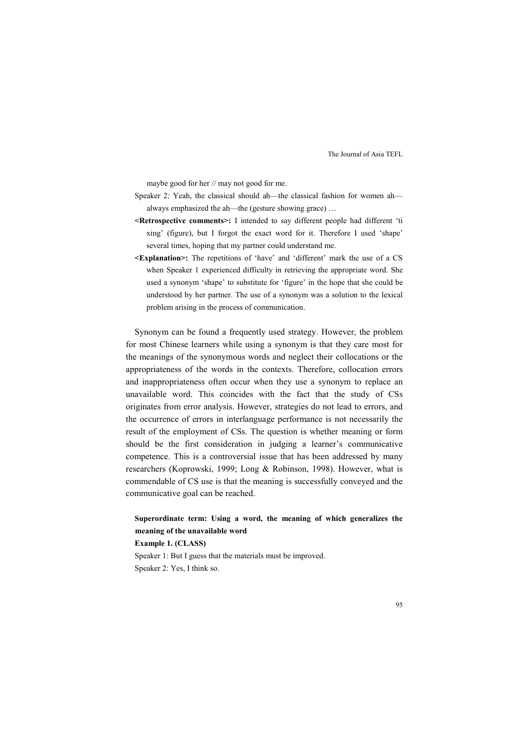maybe good for her // may not good for me.

- Speaker 2: Yeah, the classical should ah—the classical fashion for women ah always emphasized the ah—the (gesture showing grace) …
- **<Retrospective comments>:** I intended to say different people had different 'ti xing' (figure), but I forgot the exact word for it. Therefore I used 'shape' several times, hoping that my partner could understand me.
- **<Explanation>:** The repetitions of 'have' and 'different' mark the use of a CS when Speaker 1 experienced difficulty in retrieving the appropriate word. She used a synonym 'shape' to substitute for 'figure' in the hope that she could be understood by her partner. The use of a synonym was a solution to the lexical problem arising in the process of communication.

Synonym can be found a frequently used strategy. However, the problem for most Chinese learners while using a synonym is that they care most for the meanings of the synonymous words and neglect their collocations or the appropriateness of the words in the contexts. Therefore, collocation errors and inappropriateness often occur when they use a synonym to replace an unavailable word. This coincides with the fact that the study of CSs originates from error analysis. However, strategies do not lead to errors, and the occurrence of errors in interlanguage performance is not necessarily the result of the employment of CSs. The question is whether meaning or form should be the first consideration in judging a learner's communicative competence. This is a controversial issue that has been addressed by many researchers (Koprowski, 1999; Long & Robinson, 1998). However, what is commendable of CS use is that the meaning is successfully conveyed and the communicative goal can be reached.

**Superordinate term: Using a word, the meaning of which generalizes the meaning of the unavailable word Example 1. (CLASS)** Speaker 1: But I guess that the materials must be improved.

Speaker 2: Yes, I think so.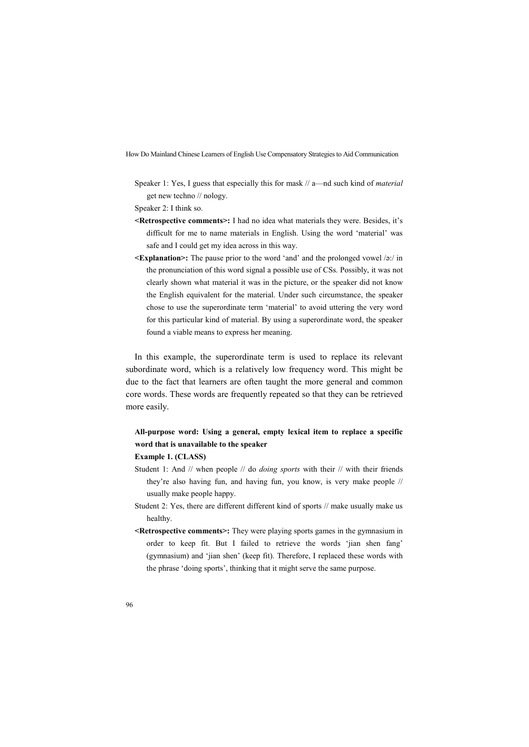Speaker 1: Yes, I guess that especially this for mask // a—nd such kind of *material*  get new techno // nology.

Speaker 2: I think so.

- **<Retrospective comments>:** I had no idea what materials they were. Besides, it's difficult for me to name materials in English. Using the word 'material' was safe and I could get my idea across in this way.
- **<Explanation>:** The pause prior to the word 'and' and the prolonged vowel /ə:/ in the pronunciation of this word signal a possible use of CSs. Possibly, it was not clearly shown what material it was in the picture, or the speaker did not know the English equivalent for the material. Under such circumstance, the speaker chose to use the superordinate term 'material' to avoid uttering the very word for this particular kind of material. By using a superordinate word, the speaker found a viable means to express her meaning.

In this example, the superordinate term is used to replace its relevant subordinate word, which is a relatively low frequency word. This might be due to the fact that learners are often taught the more general and common core words. These words are frequently repeated so that they can be retrieved more easily.

# **All-purpose word: Using a general, empty lexical item to replace a specific word that is unavailable to the speaker**

### **Example 1. (CLASS)**

- Student 1: And // when people // do *doing sports* with their // with their friends they're also having fun, and having fun, you know, is very make people // usually make people happy.
- Student 2: Yes, there are different different kind of sports // make usually make us healthy.
- **<Retrospective comments>:** They were playing sports games in the gymnasium in order to keep fit. But I failed to retrieve the words 'jian shen fang' (gymnasium) and 'jian shen' (keep fit). Therefore, I replaced these words with the phrase 'doing sports', thinking that it might serve the same purpose.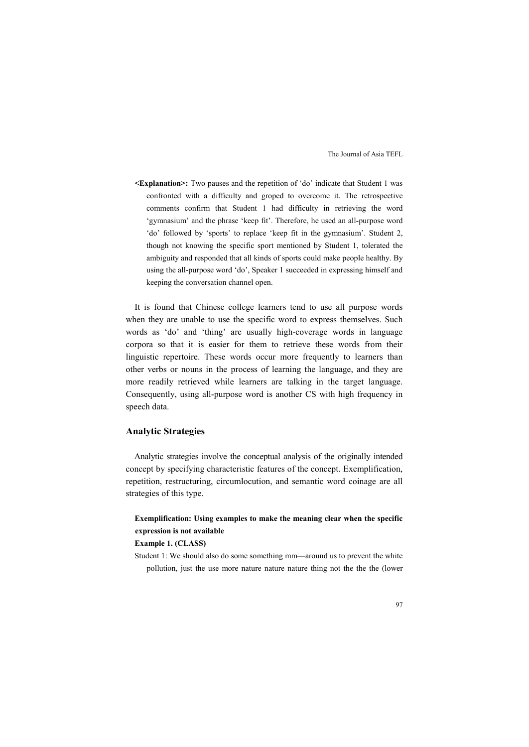**<Explanation>:** Two pauses and the repetition of 'do' indicate that Student 1 was confronted with a difficulty and groped to overcome it. The retrospective comments confirm that Student 1 had difficulty in retrieving the word 'gymnasium' and the phrase 'keep fit'. Therefore, he used an all-purpose word 'do' followed by 'sports' to replace 'keep fit in the gymnasium'. Student 2, though not knowing the specific sport mentioned by Student 1, tolerated the ambiguity and responded that all kinds of sports could make people healthy. By using the all-purpose word 'do', Speaker 1 succeeded in expressing himself and keeping the conversation channel open.

It is found that Chinese college learners tend to use all purpose words when they are unable to use the specific word to express themselves. Such words as 'do' and 'thing' are usually high-coverage words in language corpora so that it is easier for them to retrieve these words from their linguistic repertoire. These words occur more frequently to learners than other verbs or nouns in the process of learning the language, and they are more readily retrieved while learners are talking in the target language. Consequently, using all-purpose word is another CS with high frequency in speech data.

### **Analytic Strategies**

Analytic strategies involve the conceptual analysis of the originally intended concept by specifying characteristic features of the concept. Exemplification, repetition, restructuring, circumlocution, and semantic word coinage are all strategies of this type.

# **Exemplification: Using examples to make the meaning clear when the specific expression is not available**

#### **Example 1. (CLASS)**

Student 1: We should also do some something mm—around us to prevent the white pollution, just the use more nature nature nature thing not the the the (lower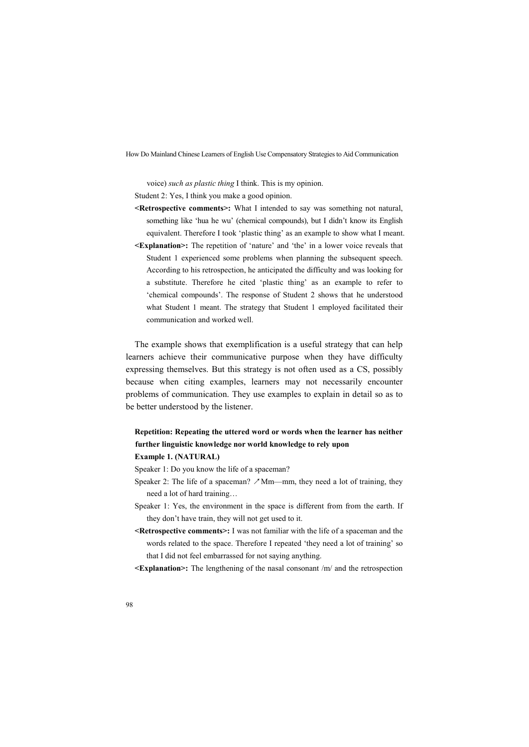voice) *such as plastic thing* I think. This is my opinion.

Student 2: Yes, I think you make a good opinion.

- **<Retrospective comments>:** What I intended to say was something not natural, something like 'hua he wu' (chemical compounds), but I didn't know its English equivalent. Therefore I took 'plastic thing' as an example to show what I meant.
- **<Explanation>:** The repetition of 'nature' and 'the' in a lower voice reveals that Student 1 experienced some problems when planning the subsequent speech. According to his retrospection, he anticipated the difficulty and was looking for a substitute. Therefore he cited 'plastic thing' as an example to refer to 'chemical compounds'. The response of Student 2 shows that he understood what Student 1 meant. The strategy that Student 1 employed facilitated their communication and worked well.

The example shows that exemplification is a useful strategy that can help learners achieve their communicative purpose when they have difficulty expressing themselves. But this strategy is not often used as a CS, possibly because when citing examples, learners may not necessarily encounter problems of communication. They use examples to explain in detail so as to be better understood by the listener.

# **Repetition: Repeating the uttered word or words when the learner has neither further linguistic knowledge nor world knowledge to rely upon**

### **Example 1. (NATURAL)**

- Speaker 1: Do you know the life of a spaceman?
- Speaker 2: The life of a spaceman?  $\mathcal{M}$ m—mm, they need a lot of training, they need a lot of hard training…
- Speaker 1: Yes, the environment in the space is different from from the earth. If they don't have train, they will not get used to it.
- **<Retrospective comments>:** I was not familiar with the life of a spaceman and the words related to the space. Therefore I repeated 'they need a lot of training' so that I did not feel embarrassed for not saying anything.
- **<Explanation>:** The lengthening of the nasal consonant /m/ and the retrospection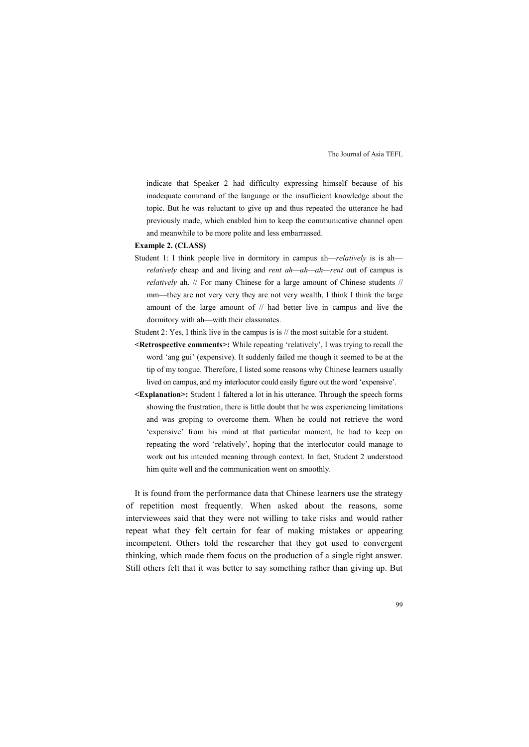indicate that Speaker 2 had difficulty expressing himself because of his inadequate command of the language or the insufficient knowledge about the topic. But he was reluctant to give up and thus repeated the utterance he had previously made, which enabled him to keep the communicative channel open and meanwhile to be more polite and less embarrassed.

#### **Example 2. (CLASS)**

- Student 1: I think people live in dormitory in campus ah—*relatively* is is ah *relatively* cheap and and living and *rent ah—ah—ah—rent* out of campus is *relatively* ah. // For many Chinese for a large amount of Chinese students // mm—they are not very very they are not very wealth, I think I think the large amount of the large amount of // had better live in campus and live the dormitory with ah—with their classmates.
- Student 2: Yes, I think live in the campus is is // the most suitable for a student.
- **<Retrospective comments>:** While repeating 'relatively', I was trying to recall the word 'ang gui' (expensive). It suddenly failed me though it seemed to be at the tip of my tongue. Therefore, I listed some reasons why Chinese learners usually lived on campus, and my interlocutor could easily figure out the word 'expensive'.
- **<Explanation>:** Student 1 faltered a lot in his utterance. Through the speech forms showing the frustration, there is little doubt that he was experiencing limitations and was groping to overcome them. When he could not retrieve the word 'expensive' from his mind at that particular moment, he had to keep on repeating the word 'relatively', hoping that the interlocutor could manage to work out his intended meaning through context. In fact, Student 2 understood him quite well and the communication went on smoothly.

It is found from the performance data that Chinese learners use the strategy of repetition most frequently. When asked about the reasons, some interviewees said that they were not willing to take risks and would rather repeat what they felt certain for fear of making mistakes or appearing incompetent. Others told the researcher that they got used to convergent thinking, which made them focus on the production of a single right answer. Still others felt that it was better to say something rather than giving up. But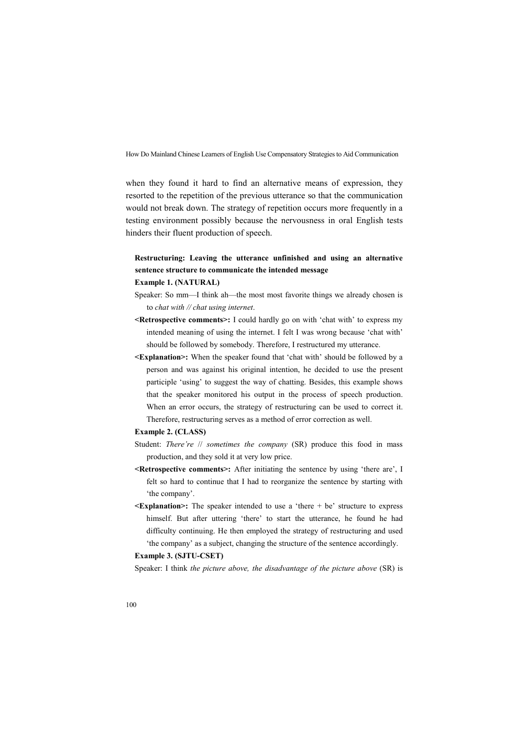when they found it hard to find an alternative means of expression, they resorted to the repetition of the previous utterance so that the communication would not break down. The strategy of repetition occurs more frequently in a testing environment possibly because the nervousness in oral English tests hinders their fluent production of speech.

# **Restructuring: Leaving the utterance unfinished and using an alternative sentence structure to communicate the intended message**

#### **Example 1. (NATURAL)**

- Speaker: So mm—I think ah—the most most favorite things we already chosen is to *chat with // chat using internet*.
- **<Retrospective comments>:** I could hardly go on with 'chat with' to express my intended meaning of using the internet. I felt I was wrong because 'chat with' should be followed by somebody. Therefore, I restructured my utterance.
- **<Explanation>:** When the speaker found that 'chat with' should be followed by a person and was against his original intention, he decided to use the present participle 'using' to suggest the way of chatting. Besides, this example shows that the speaker monitored his output in the process of speech production. When an error occurs, the strategy of restructuring can be used to correct it. Therefore, restructuring serves as a method of error correction as well.

#### **Example 2. (CLASS)**

- Student: *There're* // *sometimes the company* (SR) produce this food in mass production, and they sold it at very low price.
- **<Retrospective comments>:** After initiating the sentence by using 'there are', I felt so hard to continue that I had to reorganize the sentence by starting with 'the company'.
- **<Explanation>:** The speaker intended to use a 'there + be' structure to express himself. But after uttering 'there' to start the utterance, he found he had difficulty continuing. He then employed the strategy of restructuring and used 'the company' as a subject, changing the structure of the sentence accordingly.

#### **Example 3. (SJTU-CSET)**

Speaker: I think *the picture above, the disadvantage of the picture above* (SR) is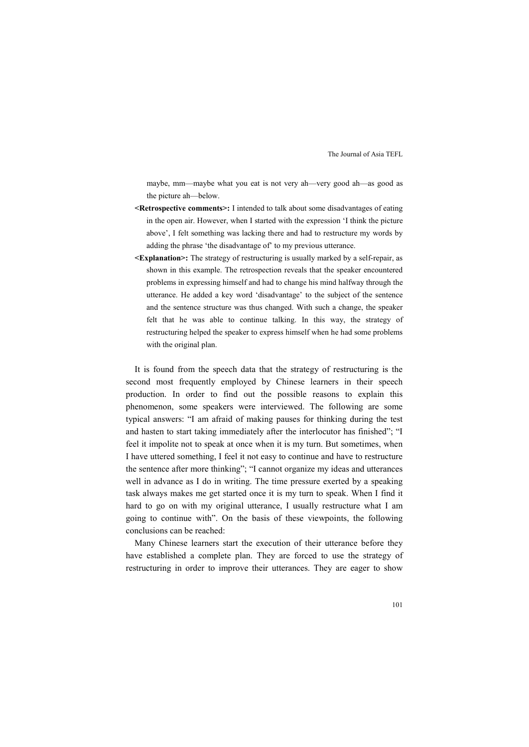maybe, mm—maybe what you eat is not very ah—very good ah—as good as the picture ah—below.

- **<Retrospective comments>:** I intended to talk about some disadvantages of eating in the open air. However, when I started with the expression 'I think the picture above', I felt something was lacking there and had to restructure my words by adding the phrase 'the disadvantage of' to my previous utterance.
- **<Explanation>:** The strategy of restructuring is usually marked by a self-repair, as shown in this example. The retrospection reveals that the speaker encountered problems in expressing himself and had to change his mind halfway through the utterance. He added a key word 'disadvantage' to the subject of the sentence and the sentence structure was thus changed. With such a change, the speaker felt that he was able to continue talking. In this way, the strategy of restructuring helped the speaker to express himself when he had some problems with the original plan.

It is found from the speech data that the strategy of restructuring is the second most frequently employed by Chinese learners in their speech production. In order to find out the possible reasons to explain this phenomenon, some speakers were interviewed. The following are some typical answers: "I am afraid of making pauses for thinking during the test and hasten to start taking immediately after the interlocutor has finished"; "I feel it impolite not to speak at once when it is my turn. But sometimes, when I have uttered something, I feel it not easy to continue and have to restructure the sentence after more thinking"; "I cannot organize my ideas and utterances well in advance as I do in writing. The time pressure exerted by a speaking task always makes me get started once it is my turn to speak. When I find it hard to go on with my original utterance, I usually restructure what I am going to continue with". On the basis of these viewpoints, the following conclusions can be reached:

Many Chinese learners start the execution of their utterance before they have established a complete plan. They are forced to use the strategy of restructuring in order to improve their utterances. They are eager to show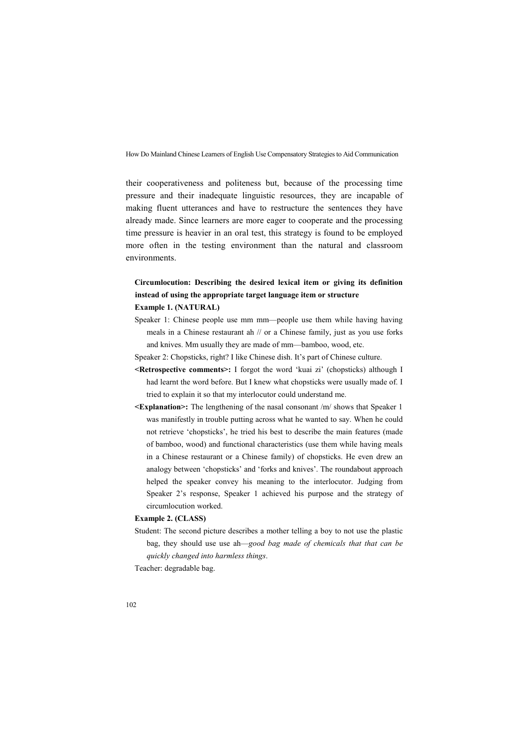their cooperativeness and politeness but, because of the processing time pressure and their inadequate linguistic resources, they are incapable of making fluent utterances and have to restructure the sentences they have already made. Since learners are more eager to cooperate and the processing time pressure is heavier in an oral test, this strategy is found to be employed more often in the testing environment than the natural and classroom environments.

# **Circumlocution: Describing the desired lexical item or giving its definition instead of using the appropriate target language item or structure Example 1. (NATURAL)**

- Speaker 1: Chinese people use mm mm—people use them while having having meals in a Chinese restaurant ah // or a Chinese family, just as you use forks and knives. Mm usually they are made of mm—bamboo, wood, etc.
- Speaker 2: Chopsticks, right? I like Chinese dish. It's part of Chinese culture.
- **<Retrospective comments>:** I forgot the word 'kuai zi' (chopsticks) although I had learnt the word before. But I knew what chopsticks were usually made of. I tried to explain it so that my interlocutor could understand me.
- **<Explanation>:** The lengthening of the nasal consonant /m/ shows that Speaker 1 was manifestly in trouble putting across what he wanted to say. When he could not retrieve 'chopsticks', he tried his best to describe the main features (made of bamboo, wood) and functional characteristics (use them while having meals in a Chinese restaurant or a Chinese family) of chopsticks. He even drew an analogy between 'chopsticks' and 'forks and knives'. The roundabout approach helped the speaker convey his meaning to the interlocutor. Judging from Speaker 2's response, Speaker 1 achieved his purpose and the strategy of circumlocution worked.

#### **Example 2. (CLASS)**

Student: The second picture describes a mother telling a boy to not use the plastic bag, they should use use ah—*good bag made of chemicals that that can be quickly changed into harmless things*.

Teacher: degradable bag.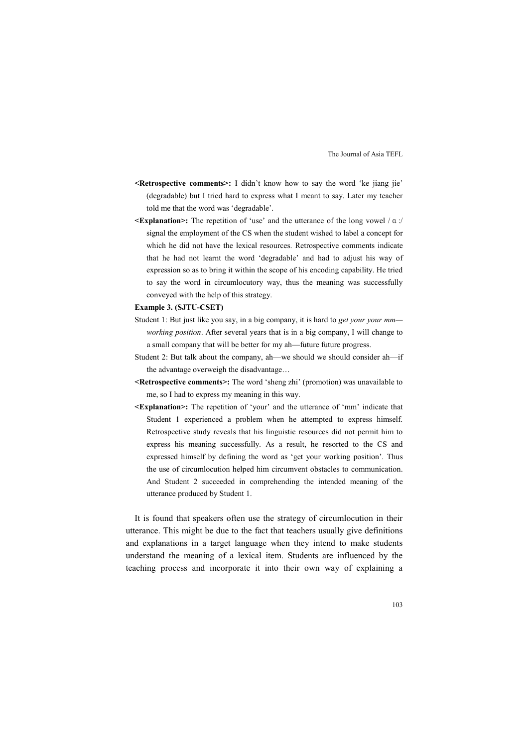- **<Retrospective comments>:** I didn't know how to say the word 'ke jiang jie' (degradable) but I tried hard to express what I meant to say. Later my teacher told me that the word was 'degradable'.
- **<Explanation>:** The repetition of 'use' and the utterance of the long vowel /α:/ signal the employment of the CS when the student wished to label a concept for which he did not have the lexical resources. Retrospective comments indicate that he had not learnt the word 'degradable' and had to adjust his way of expression so as to bring it within the scope of his encoding capability. He tried to say the word in circumlocutory way, thus the meaning was successfully conveyed with the help of this strategy.

#### **Example 3. (SJTU-CSET)**

- Student 1: But just like you say, in a big company, it is hard to *get your your mm working position*. After several years that is in a big company, I will change to a small company that will be better for my ah—future future progress.
- Student 2: But talk about the company, ah—we should we should consider ah—if the advantage overweigh the disadvantage…
- **<Retrospective comments>:** The word 'sheng zhi' (promotion) was unavailable to me, so I had to express my meaning in this way.
- **<Explanation>:** The repetition of 'your' and the utterance of 'mm' indicate that Student 1 experienced a problem when he attempted to express himself. Retrospective study reveals that his linguistic resources did not permit him to express his meaning successfully. As a result, he resorted to the CS and expressed himself by defining the word as 'get your working position'. Thus the use of circumlocution helped him circumvent obstacles to communication. And Student 2 succeeded in comprehending the intended meaning of the utterance produced by Student 1.

It is found that speakers often use the strategy of circumlocution in their utterance. This might be due to the fact that teachers usually give definitions and explanations in a target language when they intend to make students understand the meaning of a lexical item. Students are influenced by the teaching process and incorporate it into their own way of explaining a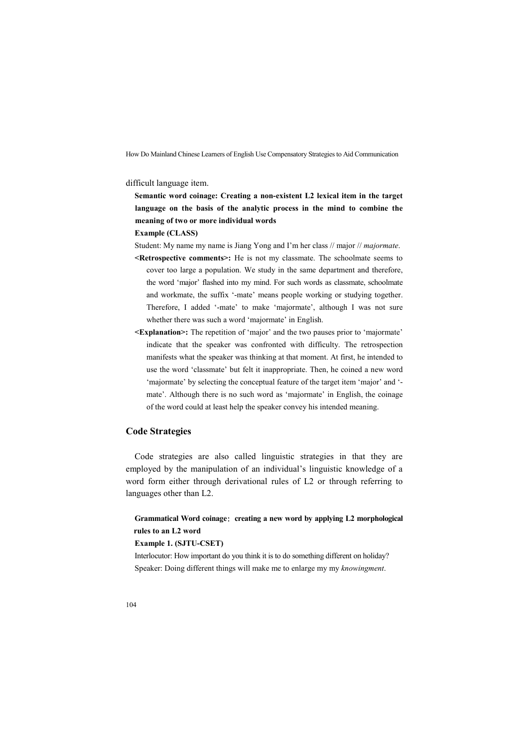difficult language item.

**Semantic word coinage: Creating a non-existent L2 lexical item in the target language on the basis of the analytic process in the mind to combine the meaning of two or more individual words**

#### **Example (CLASS)**

Student: My name my name is Jiang Yong and I'm her class // major // *majormate*.

- **<Retrospective comments>:** He is not my classmate. The schoolmate seems to cover too large a population. We study in the same department and therefore, the word 'major' flashed into my mind. For such words as classmate, schoolmate and workmate, the suffix '-mate' means people working or studying together. Therefore, I added '-mate' to make 'majormate', although I was not sure whether there was such a word 'majormate' in English.
- **<Explanation>:** The repetition of 'major' and the two pauses prior to 'majormate' indicate that the speaker was confronted with difficulty. The retrospection manifests what the speaker was thinking at that moment. At first, he intended to use the word 'classmate' but felt it inappropriate. Then, he coined a new word 'majormate' by selecting the conceptual feature of the target item 'major' and ' mate'. Although there is no such word as 'majormate' in English, the coinage of the word could at least help the speaker convey his intended meaning.

### **Code Strategies**

Code strategies are also called linguistic strategies in that they are employed by the manipulation of an individual's linguistic knowledge of a word form either through derivational rules of L2 or through referring to languages other than L2.

**Grammatical Word coinage**: **creating a new word by applying L2 morphological rules to an L2 word**

### **Example 1. (SJTU-CSET)**

Interlocutor: How important do you think it is to do something different on holiday? Speaker: Doing different things will make me to enlarge my my *knowingment*.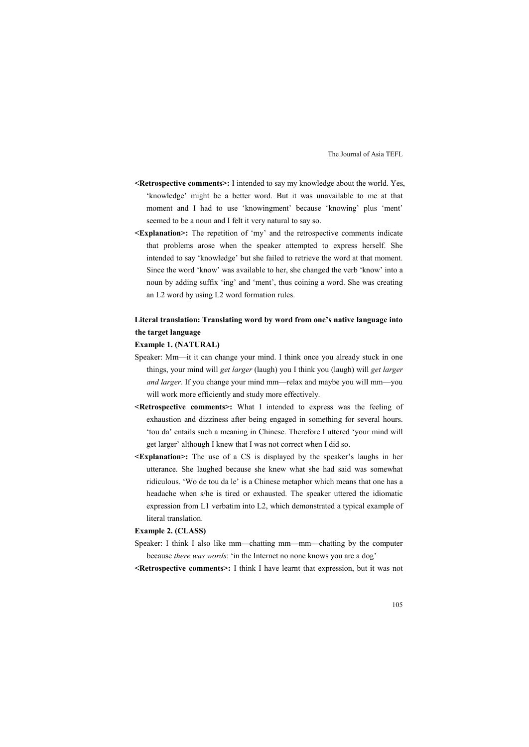- **<Retrospective comments>:** I intended to say my knowledge about the world. Yes, 'knowledge' might be a better word. But it was unavailable to me at that moment and I had to use 'knowingment' because 'knowing' plus 'ment' seemed to be a noun and I felt it very natural to say so.
- **<Explanation>:** The repetition of 'my' and the retrospective comments indicate that problems arose when the speaker attempted to express herself. She intended to say 'knowledge' but she failed to retrieve the word at that moment. Since the word 'know' was available to her, she changed the verb 'know' into a noun by adding suffix 'ing' and 'ment', thus coining a word. She was creating an L2 word by using L2 word formation rules.

# **Literal translation: Translating word by word from one's native language into the target language**

#### **Example 1. (NATURAL)**

- Speaker: Mm—it it can change your mind. I think once you already stuck in one things, your mind will *get larger* (laugh) you I think you (laugh) will *get larger and larger*. If you change your mind mm—relax and maybe you will mm—you will work more efficiently and study more effectively.
- **<Retrospective comments>:** What I intended to express was the feeling of exhaustion and dizziness after being engaged in something for several hours. 'tou da' entails such a meaning in Chinese. Therefore I uttered 'your mind will get larger' although I knew that I was not correct when I did so.
- **<Explanation>:** The use of a CS is displayed by the speaker's laughs in her utterance. She laughed because she knew what she had said was somewhat ridiculous. 'Wo de tou da le' is a Chinese metaphor which means that one has a headache when s/he is tired or exhausted. The speaker uttered the idiomatic expression from L1 verbatim into L2, which demonstrated a typical example of literal translation.

#### **Example 2. (CLASS)**

- Speaker: I think I also like mm—chatting mm—mm—chatting by the computer because *there was words*: 'in the Internet no none knows you are a dog'
- **<Retrospective comments>:** I think I have learnt that expression, but it was not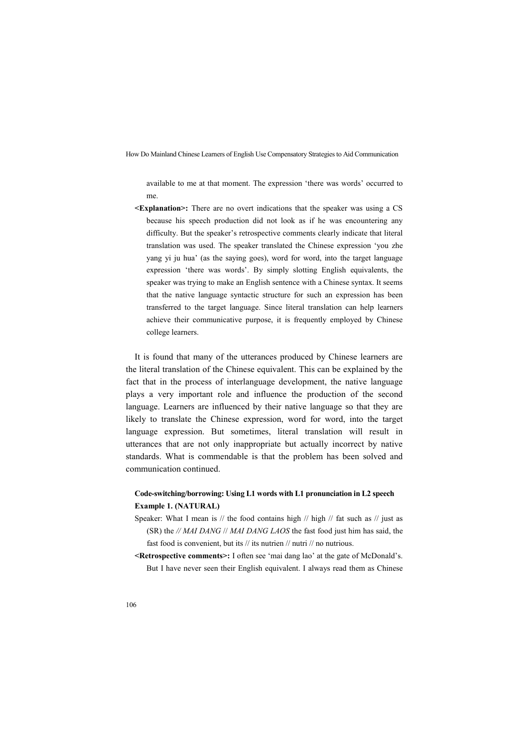available to me at that moment. The expression 'there was words' occurred to me.

**<Explanation>:** There are no overt indications that the speaker was using a CS because his speech production did not look as if he was encountering any difficulty. But the speaker's retrospective comments clearly indicate that literal translation was used. The speaker translated the Chinese expression 'you zhe yang yi ju hua' (as the saying goes), word for word, into the target language expression 'there was words'. By simply slotting English equivalents, the speaker was trying to make an English sentence with a Chinese syntax. It seems that the native language syntactic structure for such an expression has been transferred to the target language. Since literal translation can help learners achieve their communicative purpose, it is frequently employed by Chinese college learners.

It is found that many of the utterances produced by Chinese learners are the literal translation of the Chinese equivalent. This can be explained by the fact that in the process of interlanguage development, the native language plays a very important role and influence the production of the second language. Learners are influenced by their native language so that they are likely to translate the Chinese expression, word for word, into the target language expression. But sometimes, literal translation will result in utterances that are not only inappropriate but actually incorrect by native standards. What is commendable is that the problem has been solved and communication continued.

# **Code-switching/borrowing: Using L1 words with L1 pronunciation in L2 speech Example 1. (NATURAL)**

- Speaker: What I mean is  $//$  the food contains high  $//$  high  $//$  fat such as  $//$  just as (SR) the *// MAI DANG* // *MAI DANG LAOS* the fast food just him has said, the fast food is convenient, but its // its nutrien // nutri // no nutrious.
- **<Retrospective comments>:** I often see 'mai dang lao' at the gate of McDonald's. But I have never seen their English equivalent. I always read them as Chinese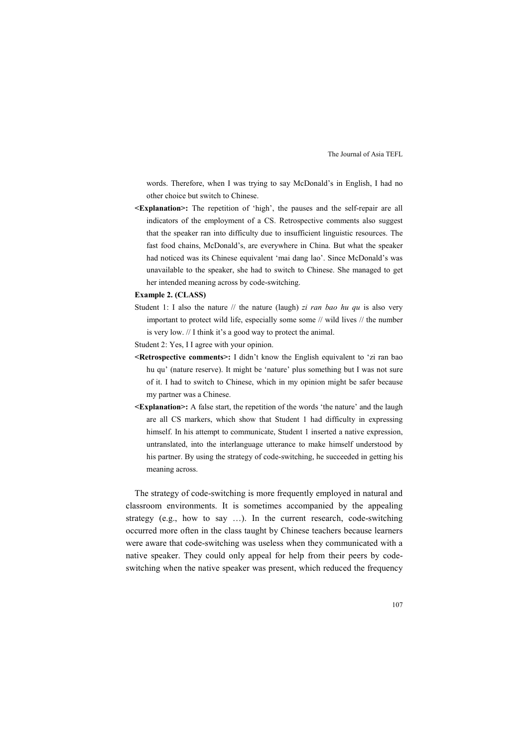words. Therefore, when I was trying to say McDonald's in English, I had no other choice but switch to Chinese.

**<Explanation>:** The repetition of 'high', the pauses and the self-repair are all indicators of the employment of a CS. Retrospective comments also suggest that the speaker ran into difficulty due to insufficient linguistic resources. The fast food chains, McDonald's, are everywhere in China. But what the speaker had noticed was its Chinese equivalent 'mai dang lao'. Since McDonald's was unavailable to the speaker, she had to switch to Chinese. She managed to get her intended meaning across by code-switching.

#### **Example 2. (CLASS)**

- Student 1: I also the nature // the nature (laugh) *zi ran bao hu qu* is also very important to protect wild life, especially some some // wild lives // the number is very low. // I think it's a good way to protect the animal.
- Student 2: Yes, I I agree with your opinion.
- **<Retrospective comments>:** I didn't know the English equivalent to 'zi ran bao hu qu' (nature reserve). It might be 'nature' plus something but I was not sure of it. I had to switch to Chinese, which in my opinion might be safer because my partner was a Chinese.
- **<Explanation>:** A false start, the repetition of the words 'the nature' and the laugh are all CS markers, which show that Student 1 had difficulty in expressing himself. In his attempt to communicate, Student 1 inserted a native expression, untranslated, into the interlanguage utterance to make himself understood by his partner. By using the strategy of code-switching, he succeeded in getting his meaning across.

The strategy of code-switching is more frequently employed in natural and classroom environments. It is sometimes accompanied by the appealing strategy (e.g., how to say …). In the current research, code-switching occurred more often in the class taught by Chinese teachers because learners were aware that code-switching was useless when they communicated with a native speaker. They could only appeal for help from their peers by code switching when the native speaker was present, which reduced the frequency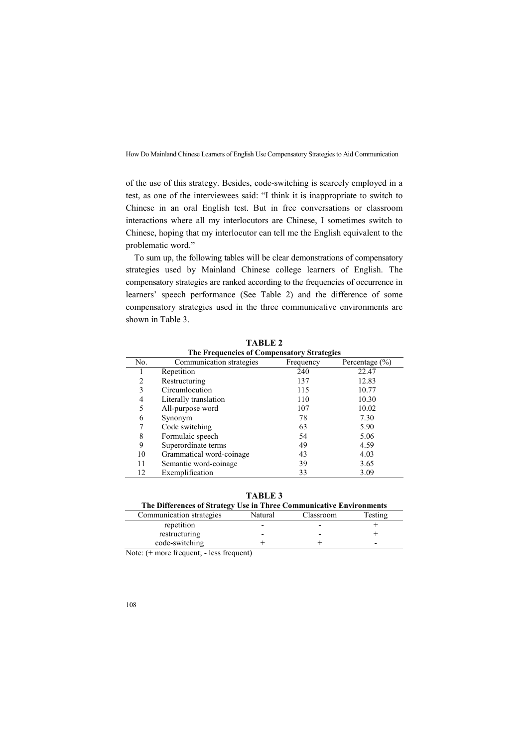of the use of this strategy. Besides, code-switching is scarcely employed in a test, as one of the interviewees said: "I think it is inappropriate to switch to Chinese in an oral English test. But in free conversations or classroom interactions where all my interlocutors are Chinese, I sometimes switch to Chinese, hoping that my interlocutor can tell me the English equivalent to the problematic word."

To sum up, the following tables will be clear demonstrations of compensatory strategies used by Mainland Chinese college learners of English. The compensatory strategies are ranked according to the frequencies of occurrence in learners' speech performance (See Table 2) and the difference of some compensatory strategies used in the three communicative environments are shown in Table 3.

| THE FTUJULILIES OF COMPUNSATORY STEALL PLA |                          |           |                    |  |  |
|--------------------------------------------|--------------------------|-----------|--------------------|--|--|
| No.                                        | Communication strategies | Frequency | Percentage $(\% )$ |  |  |
|                                            | Repetition               | 240       | 22.47              |  |  |
| 2                                          | Restructuring            | 137       | 12.83              |  |  |
| 3                                          | Circumlocution           | 115       | 10.77              |  |  |
| 4                                          | Literally translation    | 110       | 10.30              |  |  |
| 5                                          | All-purpose word         | 107       | 10.02              |  |  |
| 6                                          | Synonym                  | 78        | 7.30               |  |  |
|                                            | Code switching           | 63        | 5.90               |  |  |
| 8                                          | Formulaic speech         | 54        | 5.06               |  |  |
| 9                                          | Superordinate terms      | 49        | 4.59               |  |  |
| 10                                         | Grammatical word-coinage | 43        | 4.03               |  |  |
| 11                                         | Semantic word-coinage    | 39        | 3.65               |  |  |
| 12                                         | Exemplification          | 33        | 3.09               |  |  |

**TABLE 2 The Frequencies of Compensatory Strategies**

**TABLE 3**

| The Differences of Strategy Use in Three Communicative Environments |         |           |                          |  |  |
|---------------------------------------------------------------------|---------|-----------|--------------------------|--|--|
| Communication strategies                                            | Natural | Classroom | Testing                  |  |  |
| repetition                                                          |         |           |                          |  |  |
| restructuring                                                       |         |           |                          |  |  |
| code-switching                                                      |         |           | $\overline{\phantom{0}}$ |  |  |
|                                                                     |         |           |                          |  |  |

Note: (+ more frequent; - less frequent)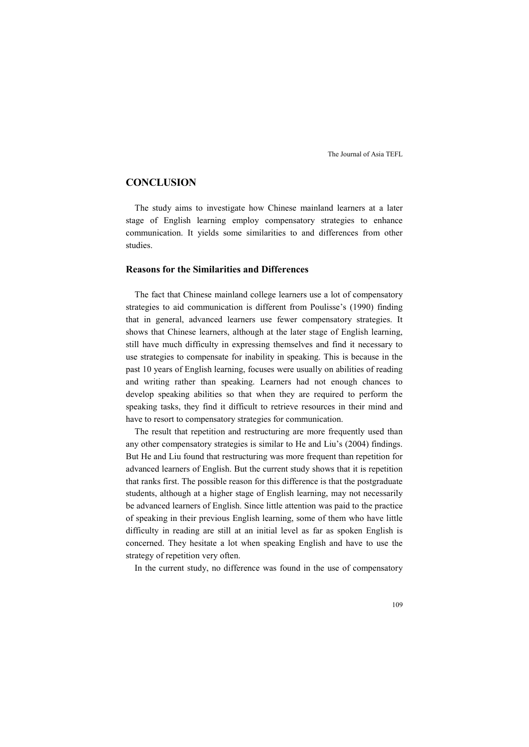### **CONCLUSION**

The study aims to investigate how Chinese mainland learners at a later stage of English learning employ compensatory strategies to enhance communication. It yields some similarities to and differences from other studies.

## **Reasons for the Similarities and Differences**

The fact that Chinese mainland college learners use a lot of compensatory strategies to aid communication is different from Poulisse's (1990) finding that in general, advanced learners use fewer compensatory strategies. It shows that Chinese learners, although at the later stage of English learning, still have much difficulty in expressing themselves and find it necessary to use strategies to compensate for inability in speaking. This is because in the past 10 years of English learning, focuses were usually on abilities of reading and writing rather than speaking. Learners had not enough chances to develop speaking abilities so that when they are required to perform the speaking tasks, they find it difficult to retrieve resources in their mind and have to resort to compensatory strategies for communication.

The result that repetition and restructuring are more frequently used than any other compensatory strategies is similar to He and Liu's (2004) findings. But He and Liu found that restructuring was more frequent than repetition for advanced learners of English. But the current study shows that it is repetition that ranks first. The possible reason for this difference is that the postgraduate students, although at a higher stage of English learning, may not necessarily be advanced learners of English. Since little attention was paid to the practice of speaking in their previous English learning, some of them who have little difficulty in reading are still at an initial level as far as spoken English is concerned. They hesitate a lot when speaking English and have to use the strategy of repetition very often.

In the current study, no difference was found in the use of compensatory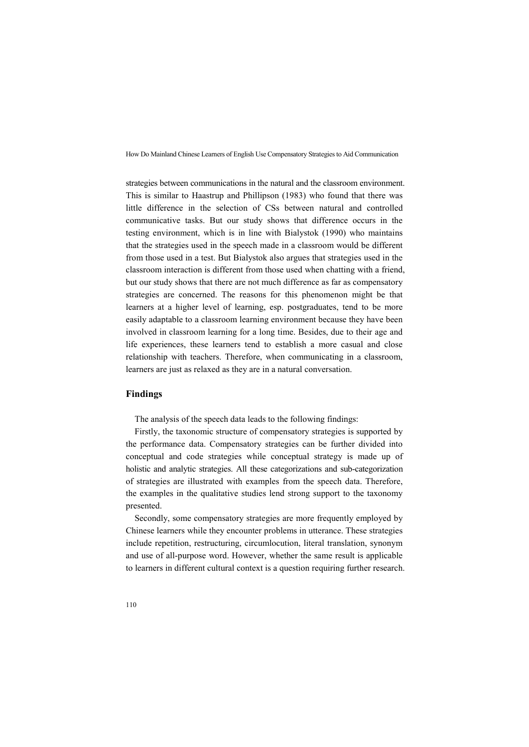strategies between communications in the natural and the classroom environment. This is similar to Haastrup and Phillipson (1983) who found that there was little difference in the selection of CSs between natural and controlled communicative tasks. But our study shows that difference occurs in the testing environment, which is in line with Bialystok (1990) who maintains that the strategies used in the speech made in a classroom would be different from those used in a test. But Bialystok also argues that strategies used in the classroom interaction is different from those used when chatting with a friend, but our study shows that there are not much difference as far as compensatory strategies are concerned. The reasons for this phenomenon might be that learners at a higher level of learning, esp. postgraduates, tend to be more easily adaptable to a classroom learning environment because they have been involved in classroom learning for a long time. Besides, due to their age and life experiences, these learners tend to establish a more casual and close relationship with teachers. Therefore, when communicating in a classroom, learners are just as relaxed as they are in a natural conversation.

#### **Findings**

The analysis of the speech data leads to the following findings:

Firstly, the taxonomic structure of compensatory strategies is supported by the performance data. Compensatory strategies can be further divided into conceptual and code strategies while conceptual strategy is made up of holistic and analytic strategies. All these categorizations and sub-categorization of strategies are illustrated with examples from the speech data. Therefore, the examples in the qualitative studies lend strong support to the taxonomy presented.

Secondly, some compensatory strategies are more frequently employed by Chinese learners while they encounter problems in utterance. These strategies include repetition, restructuring, circumlocution, literal translation, synonym and use of all-purpose word. However, whether the same result is applicable to learners in different cultural context is a question requiring further research.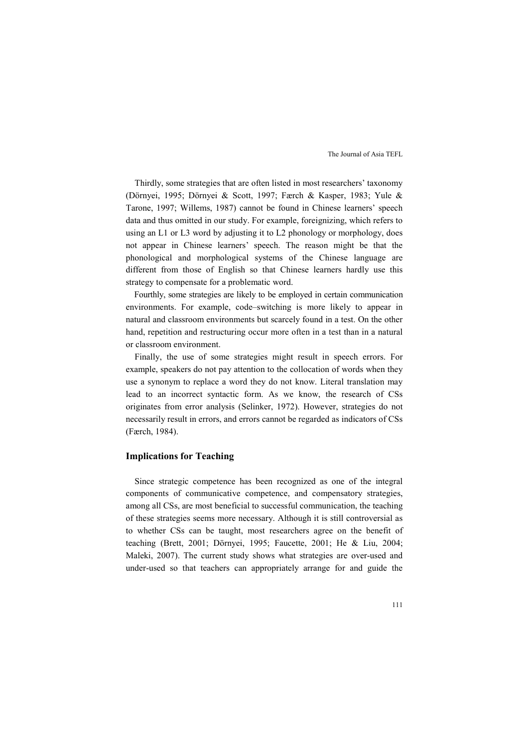Thirdly, some strategies that are often listed in most researchers' taxonomy (Dörnyei, 1995; Dörnyei & Scott, 1997; Færch & Kasper, 1983; Yule & Tarone, 1997; Willems, 1987) cannot be found in Chinese learners' speech data and thus omitted in our study. For example, foreignizing, which refers to using an L1 or L3 word by adjusting it to L2 phonology or morphology, does not appear in Chinese learners' speech. The reason might be that the phonological and morphological systems of the Chinese language are different from those of English so that Chinese learners hardly use this strategy to compensate for a problematic word. Fourthly, some strategies are likely to be employed in certain communication

environments. For example, code–switching is more likely to appear in natural and classroom environments but scarcely found in a test. On the other hand, repetition and restructuring occur more often in a test than in a natural or classroom environment.

Finally, the use of some strategies might result in speech errors. For example, speakers do not pay attention to the collocation of words when they use a synonym to replace a word they do not know. Literal translation may lead to an incorrect syntactic form. As we know, the research of CSs originates from error analysis (Selinker, 1972). However, strategies do not necessarily result in errors, and errors cannot be regarded as indicators of CSs (Færch, 1984).

### **Implications for Teaching**

Since strategic competence has been recognized as one of the integral components of communicative competence, and compensatory strategies, among all CSs, are most beneficial to successful communication, the teaching of these strategies seems more necessary. Although it is still controversial as to whether CSs can be taught, most researchers agree on the benefit of teaching (Brett, 2001; Dörnyei, 1995; Faucette, 2001; He & Liu, 2004; Maleki, 2007). The current study shows what strategies are over-used and under-used so that teachers can appropriately arrange for and guide the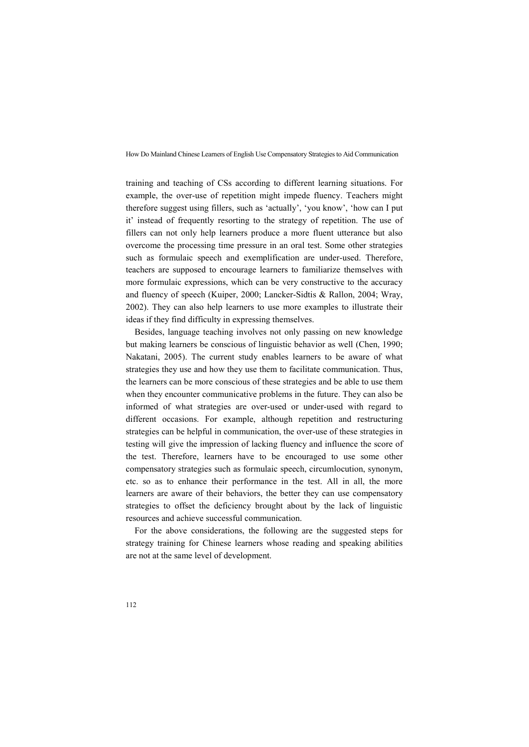training and teaching of CSs according to different learning situations. For example, the over-use of repetition might impede fluency. Teachers might therefore suggest using fillers, such as 'actually', 'you know', 'how can I put it' instead of frequently resorting to the strategy of repetition. The use of fillers can not only help learners produce a more fluent utterance but also overcome the processing time pressure in an oral test. Some other strategies such as formulaic speech and exemplification are under-used. Therefore, teachers are supposed to encourage learners to familiarize themselves with more formulaic expressions, which can be very constructive to the accuracy and fluency of speech (Kuiper, 2000; Lancker-Sidtis & Rallon, 2004; Wray, 2002). They can also help learners to use more examples to illustrate their ideas if they find difficulty in expressing themselves.

Besides, language teaching involves not only passing on new knowledge but making learners be conscious of linguistic behavior as well (Chen, 1990; Nakatani, 2005). The current study enables learners to be aware of what strategies they use and how they use them to facilitate communication. Thus, the learners can be more conscious of these strategies and be able to use them when they encounter communicative problems in the future. They can also be informed of what strategies are over-used or under-used with regard to different occasions. For example, although repetition and restructuring strategies can be helpful in communication, the over-use of these strategies in testing will give the impression of lacking fluency and influence the score of the test. Therefore, learners have to be encouraged to use some other compensatory strategies such as formulaic speech, circumlocution, synonym, etc. so as to enhance their performance in the test. All in all, the more learners are aware of their behaviors, the better they can use compensatory strategies to offset the deficiency brought about by the lack of linguistic resources and achieve successful communication.

For the above considerations, the following are the suggested steps for strategy training for Chinese learners whose reading and speaking abilities are not at the same level of development.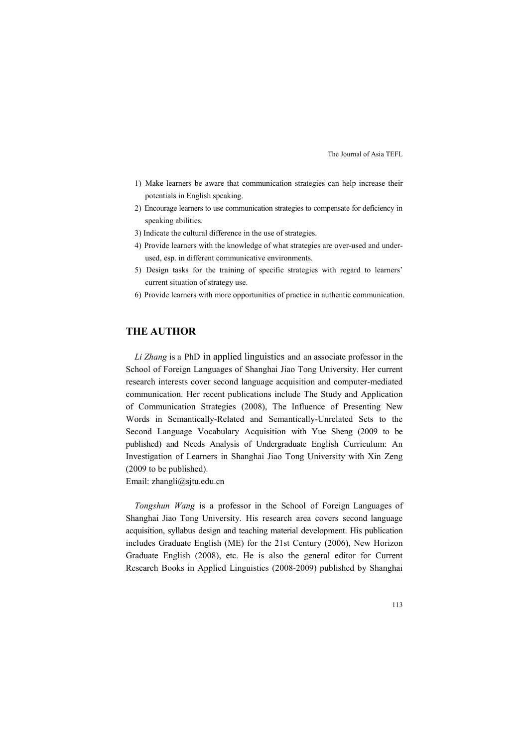- 1) Make learners be aware that communication strategies can help increase their potentials in English speaking.
- 2) Encourage learners to use communication strategies to compensate for deficiency in speaking abilities.
- 3) Indicate the cultural difference in the use of strategies.
- 4) Provide learners with the knowledge of what strategies are over-used and under used, esp. in different communicative environments.
- 5) Design tasks for the training of specific strategies with regard to learners' current situation of strategy use.
- 6) Provide learners with more opportunities of practice in authentic communication.

# **THE AUTHOR**

*Li Zhang* is a PhD in applied linguistics and an associate professor in the School of Foreign Languages of Shanghai Jiao Tong University. Her current research interests cover second language acquisition and computer-mediated communication. Her recent publications include The Study and Application of Communication Strategies (2008), The Influence of Presenting New Words in Semantically-Related and Semantically-Unrelated Sets to the Second Language Vocabulary Acquisition with Yue Sheng (2009 to be published) and Needs Analysis of Undergraduate English Curriculum: An Investigation of Learners in Shanghai Jiao Tong University with Xin Zeng (2009 to be published).

Email: zhangli@sjtu.edu.cn

*Tongshun Wang* is a professor in the School of Foreign Languages of Shanghai Jiao Tong University. His research area covers second language acquisition, syllabus design and teaching material development. His publication includes Graduate English (ME) for the 21st Century (2006), New Horizon Graduate English (2008), etc. He is also the general editor for Current Research Books in Applied Linguistics (2008-2009) published by Shanghai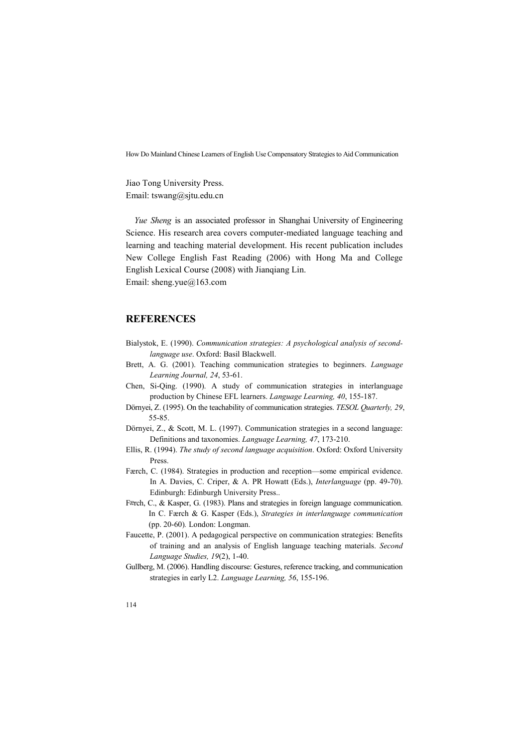Jiao Tong University Press. Email: tswang@sjtu.edu.cn

*Yue Sheng* is an associated professor in Shanghai University of Engineering Science. His research area covers computer-mediated language teaching and learning and teaching material development. His recent publication includes New College English Fast Reading (2006) with Hong Ma and College English Lexical Course (2008) with Jianqiang Lin. Email: sheng.yue@163.com

### **REFERENCES**

- Bialystok, E. (1990). *Communication strategies: A psychological analysis of secondlanguage use*. Oxford: Basil Blackwell.
- Brett, A. G. (2001). Teaching communication strategies to beginners. *Language Learning Journal, 24*, 53-61.
- Chen, Si-Qing. (1990). A study of communication strategies in interlanguage production by Chinese EFL learners. *Language Learning, 40*, 155-187.
- Dörnyei, Z. (1995). On the teachability of communication strategies. *TESOL Quarterly, 29*, 55-85.
- Dörnyei, Z., & Scott, M. L. (1997). Communication strategies in a second language: Definitions and taxonomies. *Language Learning, <sup>47</sup>*, 173-210.
- Ellis, R. (1994). *The study of second language acquisition*. Oxford: Oxford University Press.
- Færch, C. (1984). Strategies in production and reception—some empirical evidence. In A. Davies, C. Criper, & A. PR Howatt (Eds.), *Interlanguage* (pp. 49-70). Edinburgh: Edinburgh University Press..
- Færch, C., & Kasper, G. (1983). Plans and strategies in foreign language communication. In C. Færch & G. Kasper (Eds.), *Strategies in interlanguage communication* (pp. 20-60)*.* London: Longman.
- Faucette, P. (2001). A pedagogical perspective on communication strategies: Benefits of training and an analysis of English language teaching materials. *Second Language Studies, 19*(2), 1-40.
- Gullberg, M. (2006). Handling discourse: Gestures, reference tracking, and communication strategies in early L2. *Language Learning, 56*, 155-196.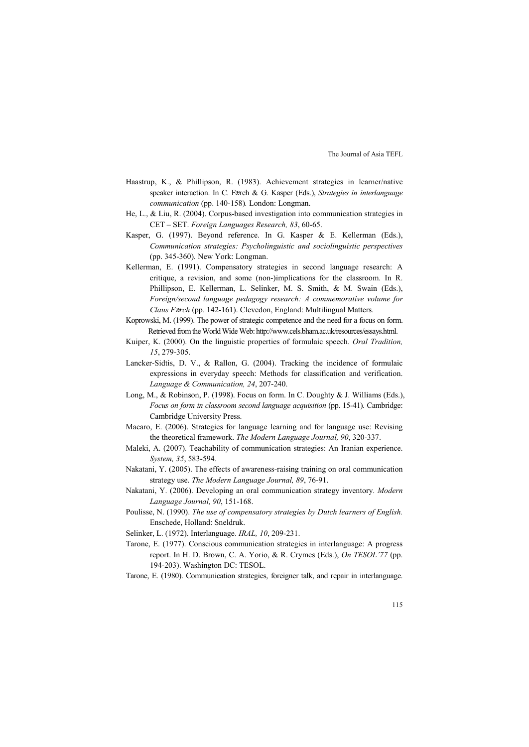- Haastrup, K., & Phillipson, R. (1983). Achievement strategies in learner/native speaker interaction. In C. Færch & G. Kasper (Eds.), *Strategies in interlanguage communication* (pp. 140-158)*.* London: Longman.
- He, L., & Liu, R. (2004). Corpus-based investigation into communication strategies in CET – SET. *Foreign Languages Research, 83*, 60-65.
- Kasper, G. (1997). Beyond reference. In G. Kasper & E. Kellerman (Eds.), *Communication strategies: Psycholinguistic and sociolinguistic perspectives* (pp. 345-360)*.* New York: Longman.
- Kellerman, E. (1991). Compensatory strategies in second language research: A critique, a revision, and some (non-)implications for the classroom. In R. Phillipson, E. Kellerman, L. Selinker, M. S. Smith, & M. Swain (Eds.), *Foreign/second language pedagogy research: A commemorative volume for Claus F*æ*rch* (pp.142-161). Clevedon, England: Multilingual Matters.
- Koprowski, M. (1999). The power of strategic competence and the need for a focus on form. Retrieved from the World Wide Web: http://www.cels.bham.ac.uk/resources/essays.html.
- Kuiper, K. (2000). On the linguistic properties of formulaic speech. *Oral Tradition, 15*, 279-305.
- Lancker-Sidtis, D. V., & Rallon, G. (2004). Tracking the incidence of formulaic expressions in everyday speech: Methods for classification and verification. *Language & Communication, 24*, 207-240.
- Long, M., & Robinson, P. (1998). Focus on form. In C. Doughty & J. Williams (Eds.), *Focus on form in classroom second language acquisition* (pp. 15-41)*.* Cambridge: Cambridge University Press.
- Macaro, E. (2006). Strategies for language learning and for language use: Revising the theoretical framework. *The Modern Language Journal, 90*, 320-337.
- Maleki, A. (2007). Teachability of communication strategies: An Iranian experience. *System, 35*, 583-594.
- Nakatani, Y. (2005). The effects of awareness-raising training on oral communication strategy use. *The Modern Language Journal, 89*, 76-91.
- Nakatani, Y. (2006). Developing an oral communication strategy inventory. *Modern Language Journal, 90*, 151-168.
- Poulisse, N. (1990). *The use of compensatory strategies by Dutch learners of English.* Enschede, Holland: Sneldruk.
- Selinker, L. (1972). Interlanguage. *IRAL, 10*, 209-231.
- Tarone, E. (1977). Conscious communication strategies in interlanguage: A progress report. In H. D. Brown, C. A. Yorio, & R. Crymes (Eds.), *On TESOL'77* (pp. 194-203). Washington DC: TESOL.
- Tarone, E. (1980). Communication strategies, foreigner talk, and repair in interlanguage.